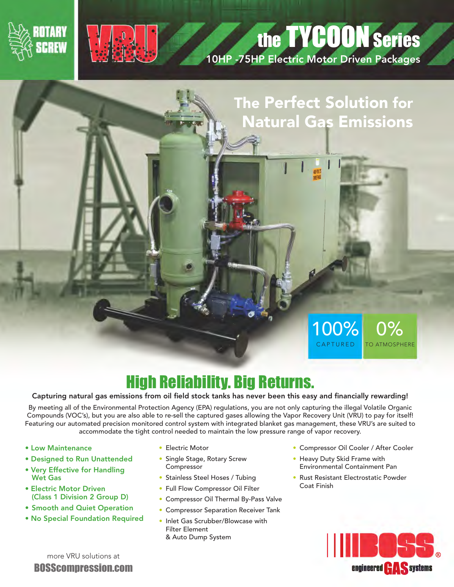



## the **TYCOON** Series

10HP -75HP Electric Motor Driven Packages

## The Perfect Solution for Natural Gas Emissions

**MWS** 

## High Reliability. Big Returns.

## Capturing natural gas emissions from oil field stock tanks has never been this easy and financially rewarding!

By meeting all of the Environmental Protection Agency (EPA) regulations, you are not only capturing the illegal Volatile Organic Compounds (VOC's), but you are also able to re-sell the captured gases allowing the Vapor Recovery Unit (VRU) to pay for itself! Featuring our automated precision monitored control system with integrated blanket gas management, these VRU's are suited to accommodate the tight control needed to maintain the low pressure range of vapor recovery.

- Low Maintenance
- Designed to Run Unattended
- Very Effective for Handling Wet Gas
- Electric Motor Driven (Class 1 Division 2 Group D)
- Smooth and Quiet Operation
- No Special Foundation Required
- Electric Motor
- Single Stage, Rotary Screw Compressor
- Stainless Steel Hoses / Tubing
- Full Flow Compressor Oil Filter
- Compressor Oil Thermal By-Pass Valve
- Compressor Separation Receiver Tank
- Inlet Gas Scrubber/Blowcase with Filter Element & Auto Dump System
- Compressor Oil Cooler / After Cooler
- Heavy Duty Skid Frame with Environmental Containment Pan

100%

0%

TO ATMOSPHERE

CAPTURED

• Rust Resistant Electrostatic Powder Coat Finish



more VRU solutions at BOSScompression.com